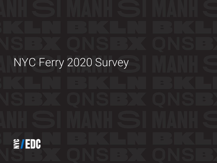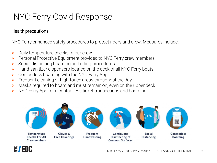## NYC Ferry Covid Response

### Health precautions:

NYC Ferry enhanced safety procedures to protect riders and crew. Measures include:

- $\triangleright$  Daily temperature checks of our crew
- $\triangleright$  Personal Protective Equipment provided to NYC Ferry crew members
- $\triangleright$  Social distancing boarding and riding procedures
- $\triangleright$  Hand-sanitizer dispensers located on the deck of all NYC Ferry boats
- $\triangleright$  Contactless boarding with the NYC Ferry App
- $\triangleright$  Frequent cleaning of high-touch areas throughout the day
- $\triangleright$  Masks required to board and must remain on, even on the upper deck
- $\triangleright$  NYC Ferry App for a contactless ticket transactions and boarding



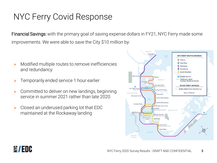## NYC Ferry Covid Response

Financial Savings: with the primary goal of saving expense dollars in FY21, NYC Ferry made some improvements. We were able to save the City \$10 million by:

- $\triangleright$  Modified multiple routes to remove inefficiencies and redundancy
- Temporarily ended service 1 hour earlier
- Committed to deliver on new landings, beginning service in summer 2021 rather than late 2020
- $\triangleright$  Closed an underused parking lot that EDC maintained at the Rockaway landing



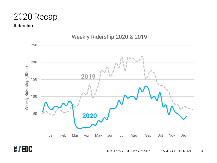### 2020 Recap

#### Ridership



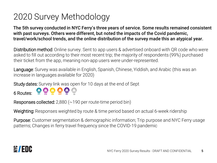## 2020 Survey Methodology

The 5th survey conducted in NYC Ferry's three years of service. Some results remained consistent with past surveys. Others were different, but noted the impacts of the Covid pandemic, travel/work/school trends, and the online distribution of the survey made this an atypical year.

Distribution method: Online survey. Sent to app users & advertised onboard with QR code who were asked to fill out according to their most recent trip; the majority of respondents (99%) purchased their ticket from the app, meaning non-app users were under-represented.

Language: Survey was available in English, Spanish, Chinese, Yiddish, and Arabic (this was an increase in languages available for 2020)

Study dates: Survey link was open for 10 days at the end of Sept

**6 Routes:** ER RW SE AST SV GI

Responses collected: 2,880 (~190 per route-time period bin)

Weighting: Responses weighted by route & time period based on actual 6-week ridership

Purpose: Customer segmentation & demographic information; Trip purpose and NYC Ferry usage patterns; Changes in ferry travel frequency since the COVID-19 pandemic

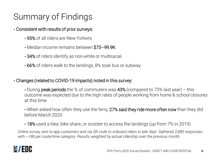# Summary of Findings

### • Consistent with results of prior surveys:

- 95% of all riders are New Yorkers
- Median income remains between \$75–99.9K
- 34% of riders identify as non-white or multiracial
- 66% of riders walk to the landings, 8% took bus or subway

### • Changes (related to COVID-19 impacts) noted in this survey:

- During **peak periods** the % of commuters was  $43\%$  (compared to 73% last year) this outcome was expected due to the high rates of people working from home & school closures at this time
- When asked how often they use the ferry, 27% said they ride more often now than they did before March 2020
- 18% used a bike, bike share, or scooter to access the landings (up from 7% in 2019)

*Online survey sent to app customers and via QR code to onboard riders in late Sept. Gathered 2,880 responses with ~188 per route/time category. Results weighted by actual ridership over the previous month.*

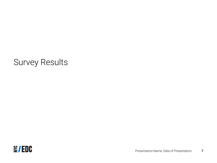### Survey Results

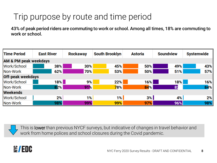## Trip purpose by route and time period

43% of peak period riders are commuting to work or school. Among all times, 18% are commuting to work or school.

| <b>Time Period</b>               | <b>East River</b> | <b>Rockaway</b> | <b>South Brooklyn</b> | <b>Astoria</b> | <b>Soundview</b> | <b>Systemwide</b> |  |
|----------------------------------|-------------------|-----------------|-----------------------|----------------|------------------|-------------------|--|
| <b>AM &amp; PM peak weekdays</b> |                   |                 |                       |                |                  |                   |  |
| Work/School                      | 38%               | 30%             | 45%                   | 50%            | 49%              | 43%               |  |
| Non-Work                         | 62%               | 70%             | 53%                   | 50%            | 51%              | 57%               |  |
| <b>Off-peak weekdays</b>         |                   |                 |                       |                |                  |                   |  |
| Work/School                      | 18% <b> </b>      | 9%              | 22%                   | 16%            | 18%              | 16%               |  |
| Non-Work                         | 82%               | 91%             | 78%                   | 84%            | 82               | 84%               |  |
| <b>Weekends</b>                  |                   |                 |                       |                |                  |                   |  |
| Work/School                      | 2%                | 1%              | 1%                    | 3%             | 4%               | 2%                |  |
| Non-Work                         | 98%               | 99%             | 99%                   | 97%            | 96%              | 98%               |  |



This is lower than previous NYCF surveys, but indicative of changes in travel behavior and work from home polices and school closures during the Covid pandemic.

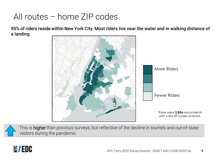## All routes – home ZIP codes

95% of riders reside within New York City. Most riders live near the water and in walking distance of a landing



This is higher than previous surveys, but reflective of the decline in tourists and out-of-state visitors during the pandemic.

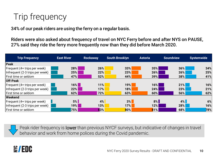# Trip frequency

34% of our peak riders are using the ferry on a regular basis.

Riders were also asked about frequency of travel on NYC Ferry before and after NYS on PAUSE, 27% said they ride the ferry more frequently now than they did before March 2020.

| <b>Trip Frequency</b>           | <b>East River</b> | <b>Rockaway</b> | <b>South Brooklyn</b> | <b>Astoria</b> | <b>Soundview</b> | <b>Systemwide</b> |
|---------------------------------|-------------------|-----------------|-----------------------|----------------|------------------|-------------------|
| Peak                            |                   |                 |                       |                |                  |                   |
| Frequent (4+ trips per week)    | 28%               | 26%             | 33%                   | 35%            | 36%              | 34%               |
| Infrequent (2-3 trips per week) | 25%               | 22%             | 23%                   | 26%            | 26%              | 25%               |
| lFirst time or seldom           | 47%               | 52%             | 44%                   | 39%            | 38%              | 41%               |
| <b>Off-Peak</b>                 |                   |                 |                       |                |                  |                   |
| Frequent (4+ trips per week)    | $16\%$            | 11%             | 19%                   | $16\%$         | 21%              | 16%               |
| Infrequent (2-3 trips per week) | 22%               | 17%             | 18%                   | 24%            | 23%              | 21%               |
| lFirst time or seldom           | 62%               | 72%             | 63%                   | 60%            | 56%              | 62%               |
| Weekend                         |                   |                 |                       |                |                  |                   |
| Frequent (4+ trips per week)    | 5%                | 4%              | 3%                    | 8%             | 4%               | 6%                |
| Infrequent (2-3 trips per week) | 19%               | 13%             | 17%                   | 12%            | 28%              | 16%               |
| First time or seldom            | 75%               | 83%             | 80%                   | 81%            | 68%              | 78%               |

Peak rider frequency is lower than previous NYCF surveys, but indicative of changes in travel behavior and work from home polices during the Covid pandemic.

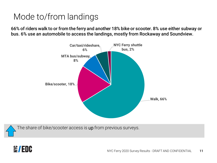## Mode to/from landings

66% of riders walk to or from the ferry and another 18% bike or scooter. 8% use either subway or bus. 6% use an automobile to access the landings, mostly from Rockaway and Soundview.



The share of bike/scooter access is up from previous surveys.

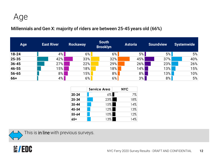Age

Millennials and Gen X: majority of riders are between 25-45 years old (66%)

| Age       | <b>East River</b> | Rockaway | <b>South</b><br><b>Brooklyn</b> | <b>Astoria</b> | <b>Soundview</b> | <b>Systemwide</b> |
|-----------|-------------------|----------|---------------------------------|----------------|------------------|-------------------|
| $18 - 24$ | 4%                | 6%       | $6\%$                           | 5%             | 5%               | 5%                |
| 25-35     | 42%               | 33%      | 32%                             | 45%            | 37%              | 40%               |
| $36 - 45$ | 27%               | 22%      | 29%                             | $26\%$         | 23%              | 26%               |
| 46-55     | 15%               | 18%      | 18%                             | $14\%$         | 13%              | 15%               |
| 56-65     | 8%                | 15%⊾     | $8\%$                           | $8\%$          | $13\%$           | 10%               |
| $66+$     | $4\%$             | $6\%$    | $6\%$                           | $3\%$          | 8%               | 5%                |

|           | <b>Service Area</b> | <b>NYC</b> |
|-----------|---------------------|------------|
| $20 - 24$ | $6\%$               | 7%         |
| 25-34     | 23%                 | 18%        |
| $35 - 44$ | 15%                 | 14%        |
| 45-54     | $12\%$              | 13%        |
| 55-64     | 10%                 | 12%        |
| $65+$     | 13%                 | 14%        |



This is in line with previous surveys.

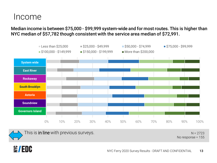### Income

Median income is between \$75,000 - \$99,999 system-wide and for most routes. This is higher than NYC median of \$57,782 though consistent with the service area median of \$72,991.



This is in line with previous surveys.

 $N = 2723$ No response = 155